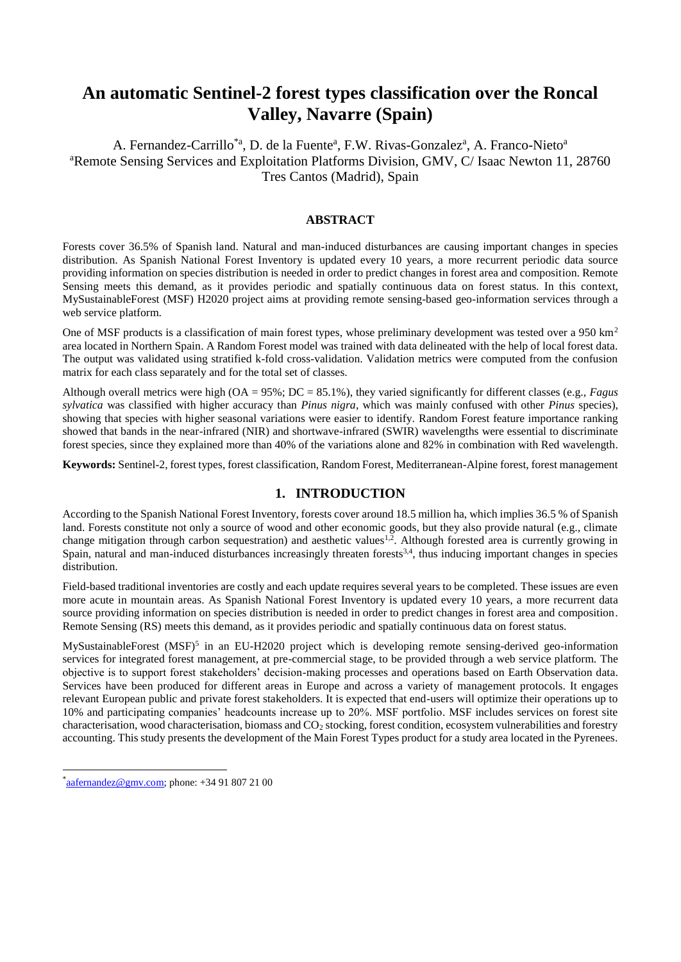# **An automatic Sentinel-2 forest types classification over the Roncal Valley, Navarre (Spain)**

A. Fernandez-Carrillo<sup>\*a</sup>, D. de la Fuente<sup>a</sup>, F.W. Rivas-Gonzalez<sup>a</sup>, A. Franco-Nieto<sup>a</sup> <sup>a</sup>Remote Sensing Services and Exploitation Platforms Division, GMV, C/ Isaac Newton 11, 28760 Tres Cantos (Madrid), Spain

## **ABSTRACT**

Forests cover 36.5% of Spanish land. Natural and man-induced disturbances are causing important changes in species distribution. As Spanish National Forest Inventory is updated every 10 years, a more recurrent periodic data source providing information on species distribution is needed in order to predict changes in forest area and composition. Remote Sensing meets this demand, as it provides periodic and spatially continuous data on forest status. In this context, MySustainableForest (MSF) H2020 project aims at providing remote sensing-based geo-information services through a web service platform.

One of MSF products is a classification of main forest types, whose preliminary development was tested over a 950  $km<sup>2</sup>$ area located in Northern Spain. A Random Forest model was trained with data delineated with the help of local forest data. The output was validated using stratified k-fold cross-validation. Validation metrics were computed from the confusion matrix for each class separately and for the total set of classes.

Although overall metrics were high (OA = 95%; DC = 85.1%), they varied significantly for different classes (e.g., *Fagus sylvatica* was classified with higher accuracy than *Pinus nigra*, which was mainly confused with other *Pinus* species), showing that species with higher seasonal variations were easier to identify. Random Forest feature importance ranking showed that bands in the near-infrared (NIR) and shortwave-infrared (SWIR) wavelengths were essential to discriminate forest species, since they explained more than 40% of the variations alone and 82% in combination with Red wavelength.

**Keywords:** Sentinel-2, forest types, forest classification, Random Forest, Mediterranean-Alpine forest, forest management

## **1. INTRODUCTION**

According to the Spanish National Forest Inventory, forests cover around 18.5 million ha, which implies 36.5 % of Spanish land. Forests constitute not only a source of wood and other economic goods, but they also provide natural (e.g., climate change mitigation through carbon sequestration) and aesthetic values $1.2$ . Although forested area is currently growing in Spain, natural and man-induced disturbances increasingly threaten forests<sup>3,4</sup>, thus inducing important changes in species distribution.

Field-based traditional inventories are costly and each update requires several years to be completed. These issues are even more acute in mountain areas. As Spanish National Forest Inventory is updated every 10 years, a more recurrent data source providing information on species distribution is needed in order to predict changes in forest area and composition. Remote Sensing (RS) meets this demand, as it provides periodic and spatially continuous data on forest status.

MySustainableForest (MSF)<sup>5</sup> in an EU-H2020 project which is developing remote sensing-derived geo-information services for integrated forest management, at pre-commercial stage, to be provided through a web service platform. The objective is to support forest stakeholders' decision-making processes and operations based on Earth Observation data. Services have been produced for different areas in Europe and across a variety of management protocols. It engages relevant European public and private forest stakeholders. It is expected that end-users will optimize their operations up to 10% and participating companies' headcounts increase up to 20%. MSF portfolio. MSF includes services on forest site characterisation, wood characterisation, biomass and CO<sup>2</sup> stocking, forest condition, ecosystem vulnerabilities and forestry accounting. This study presents the development of the Main Forest Types product for a study area located in the Pyrenees.

-

 $a$ [aafernandez@gmv.com;](mailto:aafernandez@gmv.com) phone: +34 91 807 21 00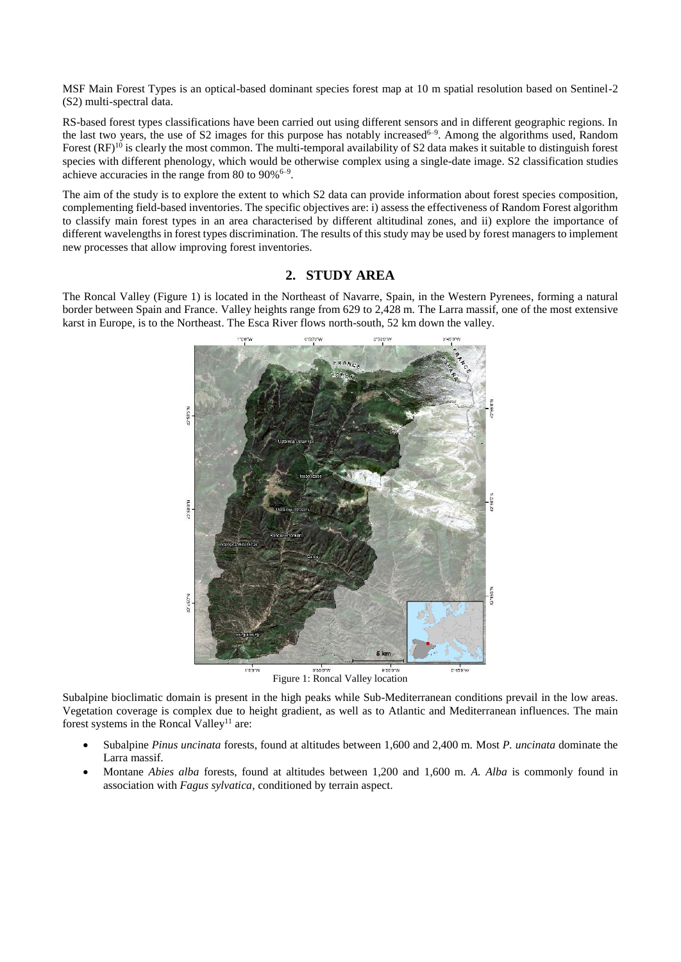MSF Main Forest Types is an optical-based dominant species forest map at 10 m spatial resolution based on Sentinel-2 (S2) multi-spectral data.

RS-based forest types classifications have been carried out using different sensors and in different geographic regions. In the last two years, the use of S2 images for this purpose has notably increased<sup>6-9</sup>. Among the algorithms used, Random Forest  $(RF)^{10}$  is clearly the most common. The multi-temporal availability of S2 data makes it suitable to distinguish forest species with different phenology, which would be otherwise complex using a single-date image. S2 classification studies achieve accuracies in the range from 80 to  $90\%$ <sup>6-9</sup>.

The aim of the study is to explore the extent to which S2 data can provide information about forest species composition, complementing field-based inventories. The specific objectives are: i) assess the effectiveness of Random Forest algorithm to classify main forest types in an area characterised by different altitudinal zones, and ii) explore the importance of different wavelengths in forest types discrimination. The results of this study may be used by forest managers to implement new processes that allow improving forest inventories.

## **2. STUDY AREA**

The Roncal Valley [\(Figure 1\)](#page-1-0) is located in the Northeast of Navarre, Spain, in the Western Pyrenees, forming a natural border between Spain and France. Valley heights range from 629 to 2,428 m. The Larra massif, one of the most extensive karst in Europe, is to the Northeast. The Esca River flows north-south, 52 km down the valley.



**Figure 1: Roncal Valley location** 

<span id="page-1-0"></span>Subalpine bioclimatic domain is present in the high peaks while Sub-Mediterranean conditions prevail in the low areas. Vegetation coverage is complex due to height gradient, as well as to Atlantic and Mediterranean influences. The main forest systems in the Roncal Valley<sup>11</sup> are:

- Subalpine *Pinus uncinata* forests, found at altitudes between 1,600 and 2,400 m. Most *P. uncinata* dominate the Larra massif.
- Montane *Abies alba* forests, found at altitudes between 1,200 and 1,600 m. *A. Alba* is commonly found in association with *Fagus sylvatica*, conditioned by terrain aspect.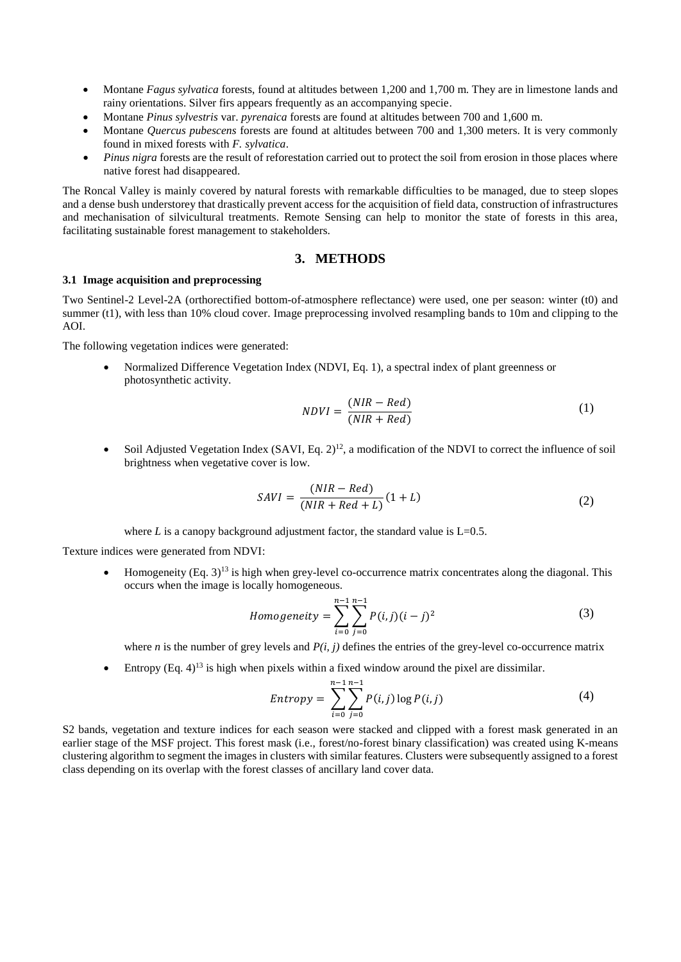- Montane *Fagus sylvatica* forests, found at altitudes between 1,200 and 1,700 m. They are in limestone lands and rainy orientations. Silver firs appears frequently as an accompanying specie.
- Montane *Pinus sylvestris* var. *pyrenaica* forests are found at altitudes between 700 and 1,600 m.
- Montane *Quercus pubescens* forests are found at altitudes between 700 and 1,300 meters. It is very commonly found in mixed forests with *F. sylvatica*.
- *Pinus nigra* forests are the result of reforestation carried out to protect the soil from erosion in those places where native forest had disappeared.

The Roncal Valley is mainly covered by natural forests with remarkable difficulties to be managed, due to steep slopes and a dense bush understorey that drastically prevent access for the acquisition of field data, construction of infrastructures and mechanisation of silvicultural treatments. Remote Sensing can help to monitor the state of forests in this area, facilitating sustainable forest management to stakeholders.

# **3. METHODS**

## **3.1 Image acquisition and preprocessing**

Two Sentinel-2 Level-2A (orthorectified bottom-of-atmosphere reflectance) were used, one per season: winter (t0) and summer (t1), with less than 10% cloud cover. Image preprocessing involved resampling bands to 10m and clipping to the AOI.

The following vegetation indices were generated:

 Normalized Difference Vegetation Index (NDVI, Eq. 1), a spectral index of plant greenness or photosynthetic activity.

$$
NDVI = \frac{(NIR - Red)}{(NIR + Red)}\tag{1}
$$

• Soil Adjusted Vegetation Index  $(SAVI, Eq. 2)<sup>12</sup>$ , a modification of the NDVI to correct the influence of soil brightness when vegetative cover is low.

$$
SAVI = \frac{(NIR - Red)}{(NIR + Red + L)}(1 + L)
$$
\n(2)

where  $L$  is a canopy background adjustment factor, the standard value is  $L=0.5$ .

Texture indices were generated from NDVI:

• Homogeneity  $(Eq. 3)^{13}$  is high when grey-level co-occurrence matrix concentrates along the diagonal. This occurs when the image is locally homogeneous.

$$
Homogeneity = \sum_{i=0}^{n-1} \sum_{j=0}^{n-1} P(i,j)(i-j)^2
$$
\n(3)

where *n* is the number of grey levels and  $P(i, j)$  defines the entries of the grey-level co-occurrence matrix

• Entropy (Eq.  $4$ )<sup>13</sup> is high when pixels within a fixed window around the pixel are dissimilar.

$$
Entropy = \sum_{i=0}^{n-1} \sum_{j=0}^{n-1} P(i,j) \log P(i,j)
$$
 (4)

S2 bands, vegetation and texture indices for each season were stacked and clipped with a forest mask generated in an earlier stage of the MSF project. This forest mask (i.e., forest/no-forest binary classification) was created using K-means clustering algorithm to segment the images in clusters with similar features. Clusters were subsequently assigned to a forest class depending on its overlap with the forest classes of ancillary land cover data.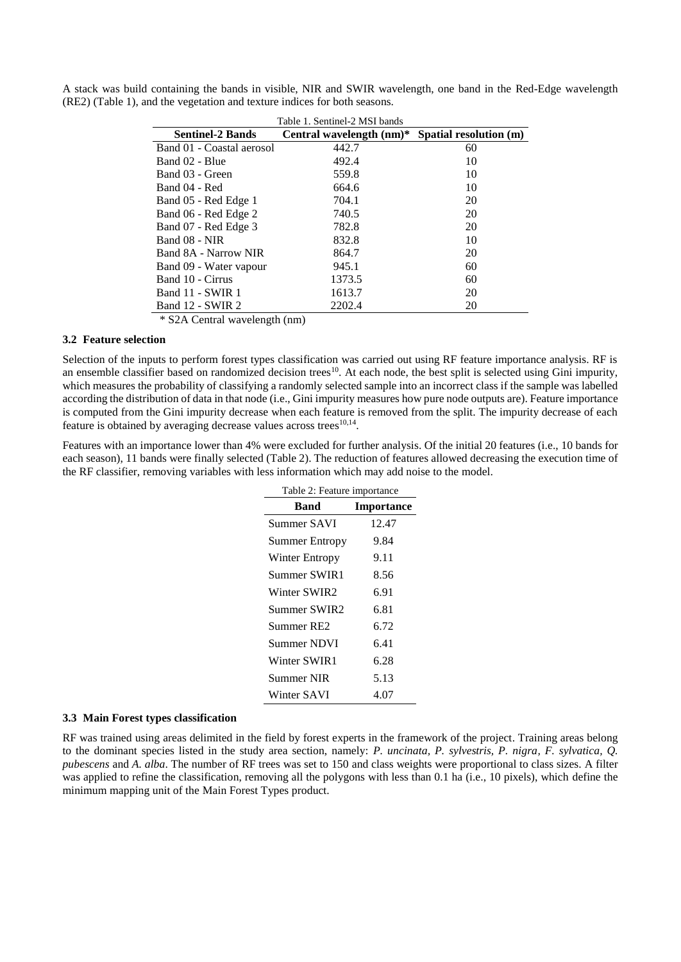|                           | Table 1. Sentinel-2 MSI bands |                        |
|---------------------------|-------------------------------|------------------------|
| <b>Sentinel-2 Bands</b>   | Central wavelength (nm)*      | Spatial resolution (m) |
| Band 01 - Coastal aerosol | 442.7                         | 60                     |
| Band 02 - Blue            | 492.4                         | 10                     |
| Band 03 - Green           | 559.8                         | 10                     |
| Band 04 - Red             | 664.6                         | 10                     |
| Band 05 - Red Edge 1      | 704.1                         | 20                     |
| Band 06 - Red Edge 2      | 740.5                         | 20                     |
| Band 07 - Red Edge 3      | 782.8                         | 20                     |
| Band 08 - NIR             | 832.8                         | 10                     |
| Band 8A - Narrow NIR      | 864.7                         | 20                     |
| Band 09 - Water vapour    | 945.1                         | 60                     |
| Band 10 - Cirrus          | 1373.5                        | 60                     |
| Band 11 - SWIR 1          | 1613.7                        | 20                     |
| Band 12 - SWIR 2          | 2202.4                        | 20                     |

<span id="page-3-0"></span>A stack was build containing the bands in visible, NIR and SWIR wavelength, one band in the Red-Edge wavelength (RE2) [\(Table 1\)](#page-3-0), and the vegetation and texture indices for both seasons.

\* S2A Central wavelength (nm)

### **3.2 Feature selection**

Selection of the inputs to perform forest types classification was carried out using RF feature importance analysis. RF is an ensemble classifier based on randomized decision trees<sup>10</sup>. At each node, the best split is selected using Gini impurity, which measures the probability of classifying a randomly selected sample into an incorrect class if the sample was labelled according the distribution of data in that node (i.e., Gini impurity measures how pure node outputs are). Feature importance is computed from the Gini impurity decrease when each feature is removed from the split. The impurity decrease of each feature is obtained by averaging decrease values across trees $10,14$ .

<span id="page-3-1"></span>Features with an importance lower than 4% were excluded for further analysis. Of the initial 20 features (i.e., 10 bands for each season), 11 bands were finally selected [\(Table 2\)](#page-3-1). The reduction of features allowed decreasing the execution time of the RF classifier, removing variables with less information which may add noise to the model.

| Table 2: Feature importance |                   |  |  |  |
|-----------------------------|-------------------|--|--|--|
| Band                        | <b>Importance</b> |  |  |  |
| Summer SAVI                 | 12.47             |  |  |  |
| Summer Entropy              | 9.84              |  |  |  |
| Winter Entropy              | 9.11              |  |  |  |
| Summer SWIR1                | 8.56              |  |  |  |
| Winter SWIR2                | 6.91              |  |  |  |
| Summer SWIR2                | 6.81              |  |  |  |
| Summer RE2                  | 6.72              |  |  |  |
| <b>Summer NDVI</b>          | 6.41              |  |  |  |
| Winter SWIR1                | 6.28              |  |  |  |
| Summer NIR                  | 5.13              |  |  |  |
| Winter SAVI                 | 4.07              |  |  |  |
|                             |                   |  |  |  |

#### **3.3 Main Forest types classification**

RF was trained using areas delimited in the field by forest experts in the framework of the project. Training areas belong to the dominant species listed in the study area section, namely: *P. uncinata, P. sylvestris, P. nigra, F. sylvatica, Q. pubescens* and *A. alba*. The number of RF trees was set to 150 and class weights were proportional to class sizes. A filter was applied to refine the classification, removing all the polygons with less than 0.1 ha (i.e., 10 pixels), which define the minimum mapping unit of the Main Forest Types product.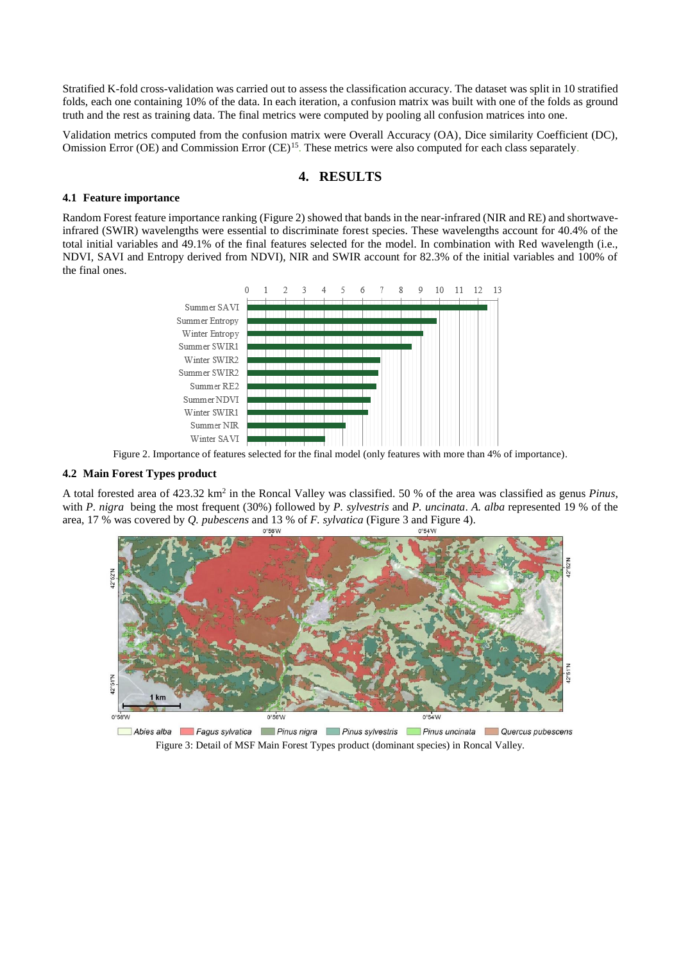Stratified K-fold cross-validation was carried out to assess the classification accuracy. The dataset was split in 10 stratified folds, each one containing 10% of the data. In each iteration, a confusion matrix was built with one of the folds as ground truth and the rest as training data. The final metrics were computed by pooling all confusion matrices into one.

Validation metrics computed from the confusion matrix were Overall Accuracy (OA), Dice similarity Coefficient (DC), Omission Error (OE) and Commission Error (CE)<sup>15</sup>. These metrics were also computed for each class separately.

## **4. RESULTS**

### **4.1 Feature importance**

Random Forest feature importance ranking [\(Figure 2\)](#page-4-0) showed that bands in the near-infrared (NIR and RE) and shortwaveinfrared (SWIR) wavelengths were essential to discriminate forest species. These wavelengths account for 40.4% of the total initial variables and 49.1% of the final features selected for the model. In combination with Red wavelength (i.e., NDVI, SAVI and Entropy derived from NDVI), NIR and SWIR account for 82.3% of the initial variables and 100% of the final ones.



Figure 2. Importance of features selected for the final model (only features with more than 4% of importance).

#### <span id="page-4-0"></span>**4.2 Main Forest Types product**

A total forested area of 423.32 km<sup>2</sup> in the Roncal Valley was classified. 50 % of the area was classified as genus *Pinus*, with *P. nigra* being the most frequent (30%) followed by *P. sylvestris* and *P. uncinata*. *A. alba* represented 19 % of the area, 17 % was covered by *Q. pubescens* and 13 % of *F. sylvatica* [\(Figure 3](#page-4-1) and [Figure](#page-5-0) 4).



<span id="page-4-1"></span>Abies alba **alba Fagus sylvatica in Pinus nigra** Pinus sylvestris Pinus uncinata Quercus pubescens Figure 3: Detail of MSF Main Forest Types product (dominant species) in Roncal Valley.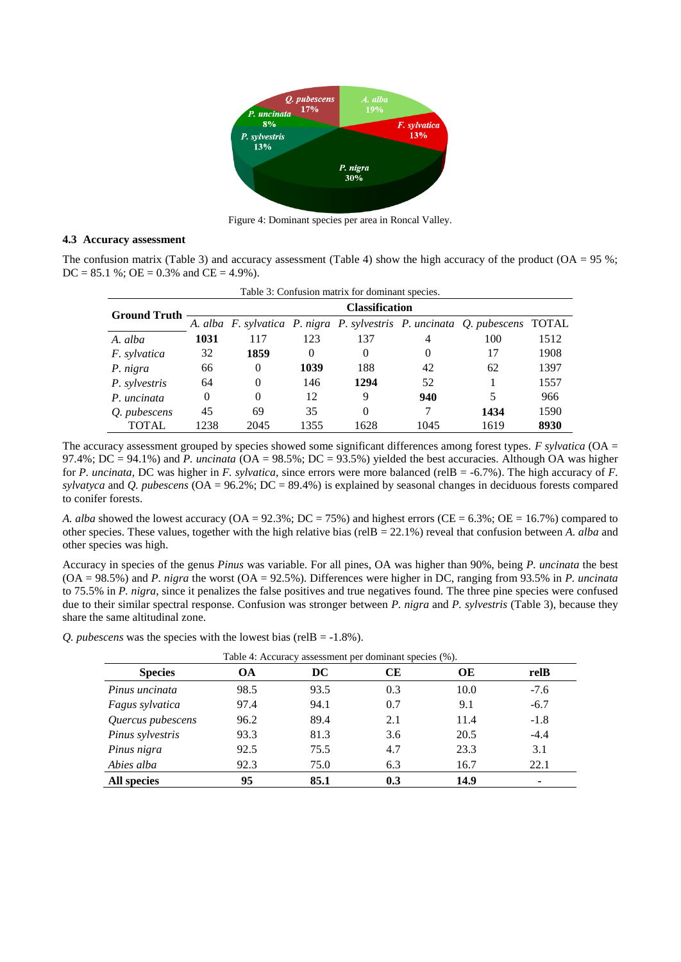

Figure 4: Dominant species per area in Roncal Valley.

#### <span id="page-5-0"></span>**4.3 Accuracy assessment**

<span id="page-5-1"></span>The confusion matrix [\(Table 3\)](#page-5-1) and accuracy assessment [\(Table 4\)](#page-5-2) show the high accuracy of the product ( $OA = 95\%$ ;  $DC = 85.1$  %;  $OE = 0.3$ % and  $CE = 4.9$ %).

| Table 3: Confusion matrix for dominant species. |                       |                |          |      |      |                                                                            |      |
|-------------------------------------------------|-----------------------|----------------|----------|------|------|----------------------------------------------------------------------------|------|
| <b>Ground Truth</b>                             | <b>Classification</b> |                |          |      |      |                                                                            |      |
|                                                 |                       |                |          |      |      | A. alba F. sylvatica P. nigra P. sylvestris P. uncinata Q. pubescens TOTAL |      |
| A. alba                                         | 1031                  | 117            | 123      | 137  | 4    | 100                                                                        | 1512 |
| <i>F.</i> sylvatica                             | 32                    | 1859           | $\theta$ |      | 0    | 17                                                                         | 1908 |
| P. nigra                                        | 66                    | $\overline{0}$ | 1039     | 188  | 42   | 62                                                                         | 1397 |
| P. sylvestris                                   | 64                    | $\Omega$       | 146      | 1294 | 52   |                                                                            | 1557 |
| P. uncinata                                     | $\Omega$              | $\Omega$       | 12       | 9    | 940  | 5                                                                          | 966  |
| <i>O.</i> pubescens                             | 45                    | 69             | 35       | 0    |      | 1434                                                                       | 1590 |
| TOTAL                                           | 1238                  | 2045           | 1355     | 1628 | 1045 | 1619                                                                       | 8930 |

The accuracy assessment grouped by species showed some significant differences among forest types. *F sylvatica* (OA = 97.4%;  $DC = 94.1\%$ ) and *P. uncinata* ( $OA = 98.5\%$ ;  $DC = 93.5\%$ ) yielded the best accuracies. Although OA was higher for *P. uncinata,* DC was higher in *F. sylvatica*, since errors were more balanced (relB = -6.7%). The high accuracy of *F. sylvatyca* and *Q. pubescens* (OA = 96.2%; DC = 89.4%) is explained by seasonal changes in deciduous forests compared to conifer forests.

*A. alba* showed the lowest accuracy (OA = 92.3%; DC = 75%) and highest errors (CE = 6.3%; OE = 16.7%) compared to other species. These values, together with the high relative bias (relB = 22.1%) reveal that confusion between *A. alba* and other species was high.

Accuracy in species of the genus *Pinus* was variable. For all pines, OA was higher than 90%, being *P. uncinata* the best (OA = 98.5%) and *P. nigra* the worst (OA = 92.5%). Differences were higher in DC, ranging from 93.5% in *P. uncinata* to 75.5% in *P. nigra*, since it penalizes the false positives and true negatives found. The three pine species were confused due to their similar spectral response. Confusion was stronger between *P. nigra* and *P. sylvestris* (Table 3), because they share the same altitudinal zone.

<span id="page-5-2"></span>*Q. pubescens* was the species with the lowest bias (relB = -1.8%).

| <b>Species</b>    | OА   | DC   | CЕ  | OЕ   | relB   |
|-------------------|------|------|-----|------|--------|
| Pinus uncinata    | 98.5 | 93.5 | 0.3 | 10.0 | $-7.6$ |
| Fagus sylvatica   | 97.4 | 94.1 | 0.7 | 9.1  | $-6.7$ |
| Quercus pubescens | 96.2 | 89.4 | 2.1 | 11.4 | $-1.8$ |
| Pinus sylvestris  | 93.3 | 81.3 | 3.6 | 20.5 | $-4.4$ |
| Pinus nigra       | 92.5 | 75.5 | 4.7 | 23.3 | 3.1    |
| Abies alba        | 92.3 | 75.0 | 6.3 | 16.7 | 22.1   |
| All species       | 95   | 85.1 | 0.3 | 14.9 | ٠      |

Table 4: Accuracy assessment per dominant species (%).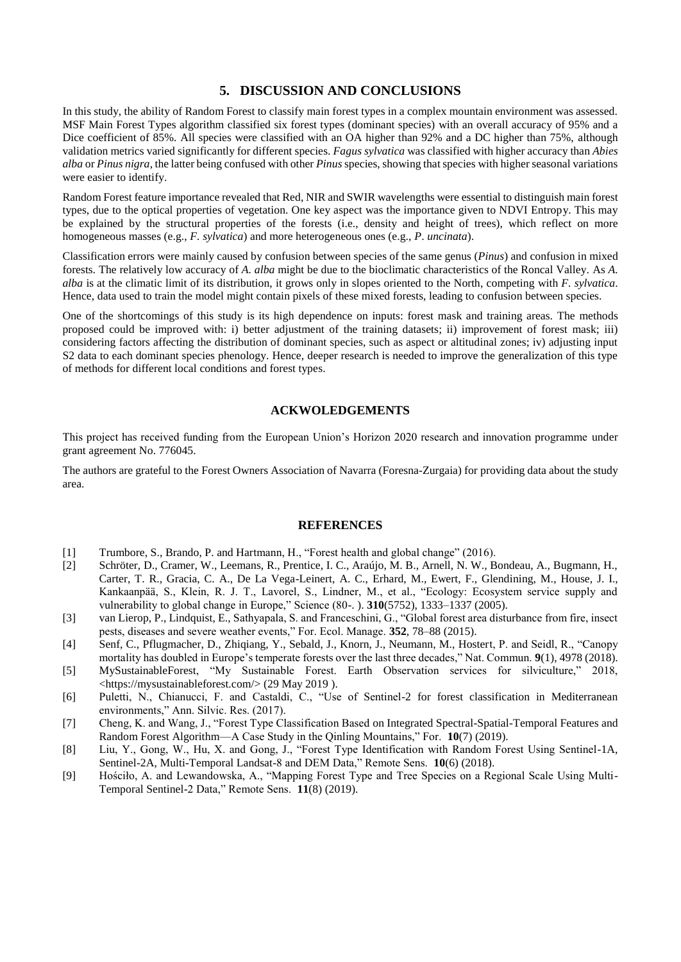# **5. DISCUSSION AND CONCLUSIONS**

In this study, the ability of Random Forest to classify main forest types in a complex mountain environment was assessed. MSF Main Forest Types algorithm classified six forest types (dominant species) with an overall accuracy of 95% and a Dice coefficient of 85%. All species were classified with an OA higher than 92% and a DC higher than 75%, although validation metrics varied significantly for different species. *Fagus sylvatica* was classified with higher accuracy than *Abies alba* or *Pinus nigra*, the latter being confused with other *Pinus* species, showing that species with higher seasonal variations were easier to identify.

Random Forest feature importance revealed that Red, NIR and SWIR wavelengths were essential to distinguish main forest types, due to the optical properties of vegetation. One key aspect was the importance given to NDVI Entropy. This may be explained by the structural properties of the forests (i.e., density and height of trees), which reflect on more homogeneous masses (e.g., *F. sylvatica*) and more heterogeneous ones (e.g., *P*. *uncinata*).

Classification errors were mainly caused by confusion between species of the same genus (*Pinus*) and confusion in mixed forests. The relatively low accuracy of *A. alba* might be due to the bioclimatic characteristics of the Roncal Valley. As *A. alba* is at the climatic limit of its distribution, it grows only in slopes oriented to the North, competing with *F. sylvatica*. Hence, data used to train the model might contain pixels of these mixed forests, leading to confusion between species.

One of the shortcomings of this study is its high dependence on inputs: forest mask and training areas. The methods proposed could be improved with: i) better adjustment of the training datasets; ii) improvement of forest mask; iii) considering factors affecting the distribution of dominant species, such as aspect or altitudinal zones; iv) adjusting input S2 data to each dominant species phenology. Hence, deeper research is needed to improve the generalization of this type of methods for different local conditions and forest types.

## **ACKWOLEDGEMENTS**

This project has received funding from the European Union's Horizon 2020 research and innovation programme under grant agreement No. 776045.

The authors are grateful to the Forest Owners Association of Navarra (Foresna-Zurgaia) for providing data about the study area.

#### **REFERENCES**

- [1] Trumbore, S., Brando, P. and Hartmann, H., "Forest health and global change" (2016).
- [2] Schröter, D., Cramer, W., Leemans, R., Prentice, I. C., Araújo, M. B., Arnell, N. W., Bondeau, A., Bugmann, H., Carter, T. R., Gracia, C. A., De La Vega-Leinert, A. C., Erhard, M., Ewert, F., Glendining, M., House, J. I., Kankaanpää, S., Klein, R. J. T., Lavorel, S., Lindner, M., et al., "Ecology: Ecosystem service supply and vulnerability to global change in Europe," Science (80-. ). **310**(5752), 1333–1337 (2005).
- [3] van Lierop, P., Lindquist, E., Sathyapala, S. and Franceschini, G., "Global forest area disturbance from fire, insect pests, diseases and severe weather events," For. Ecol. Manage. **352**, 78–88 (2015).
- [4] Senf, C., Pflugmacher, D., Zhiqiang, Y., Sebald, J., Knorn, J., Neumann, M., Hostert, P. and Seidl, R., "Canopy mortality has doubled in Europe's temperate forests over the last three decades," Nat. Commun. **9**(1), 4978 (2018).
- [5] MySustainableForest, "My Sustainable Forest. Earth Observation services for silviculture," 2018, <https://mysustainableforest.com/> (29 May 2019 ).
- [6] Puletti, N., Chianucci, F. and Castaldi, C., "Use of Sentinel-2 for forest classification in Mediterranean environments," Ann. Silvic. Res. (2017).
- [7] Cheng, K. and Wang, J., "Forest Type Classification Based on Integrated Spectral-Spatial-Temporal Features and Random Forest Algorithm—A Case Study in the Qinling Mountains," For. **10**(7) (2019).
- [8] Liu, Y., Gong, W., Hu, X. and Gong, J., "Forest Type Identification with Random Forest Using Sentinel-1A, Sentinel-2A, Multi-Temporal Landsat-8 and DEM Data," Remote Sens. **10**(6) (2018).
- [9] Hościło, A. and Lewandowska, A., "Mapping Forest Type and Tree Species on a Regional Scale Using Multi-Temporal Sentinel-2 Data," Remote Sens. **11**(8) (2019).